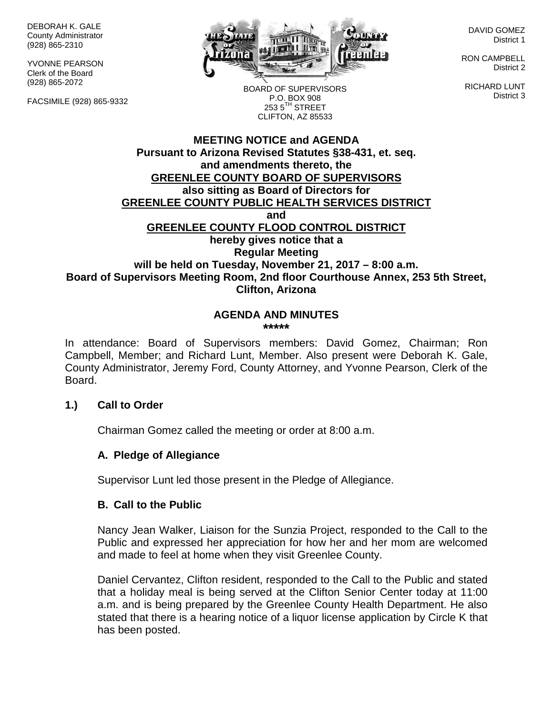DEBORAH K. GALE County Administrator (928) 865-2310

YVONNE PEARSON Clerk of the Board (928) 865-2072

FACSIMILE (928) 865-9332



DAVID GOMEZ District 1

RON CAMPBELL District 2

RICHARD LUNT District 3

BOARD OF SUPERVISORS P.O. BOX 908  $253.5$ <sup>TH</sup> STREET CLIFTON, AZ 85533

## **MEETING NOTICE and AGENDA Pursuant to Arizona Revised Statutes §38-431, et. seq. and amendments thereto, the GREENLEE COUNTY BOARD OF SUPERVISORS also sitting as Board of Directors for GREENLEE COUNTY PUBLIC HEALTH SERVICES DISTRICT and GREENLEE COUNTY FLOOD CONTROL DISTRICT hereby gives notice that a Regular Meeting will be held on Tuesday, November 21, 2017 – 8:00 a.m. Board of Supervisors Meeting Room, 2nd floor Courthouse Annex, 253 5th Street, Clifton, Arizona**

#### **AGENDA AND MINUTES \*\*\*\*\***

In attendance: Board of Supervisors members: David Gomez, Chairman; Ron Campbell, Member; and Richard Lunt, Member. Also present were Deborah K. Gale, County Administrator, Jeremy Ford, County Attorney, and Yvonne Pearson, Clerk of the Board.

## **1.) Call to Order**

Chairman Gomez called the meeting or order at 8:00 a.m.

## **A. Pledge of Allegiance**

Supervisor Lunt led those present in the Pledge of Allegiance.

#### **B. Call to the Public**

Nancy Jean Walker, Liaison for the Sunzia Project, responded to the Call to the Public and expressed her appreciation for how her and her mom are welcomed and made to feel at home when they visit Greenlee County.

Daniel Cervantez, Clifton resident, responded to the Call to the Public and stated that a holiday meal is being served at the Clifton Senior Center today at 11:00 a.m. and is being prepared by the Greenlee County Health Department. He also stated that there is a hearing notice of a liquor license application by Circle K that has been posted.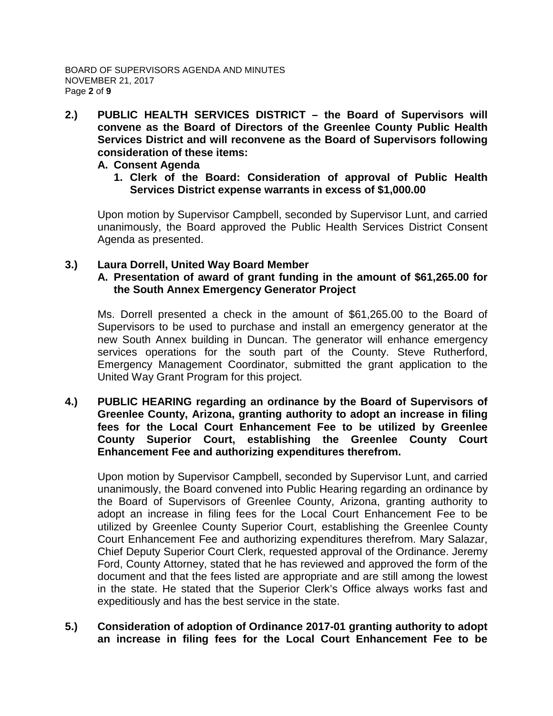**2.) PUBLIC HEALTH SERVICES DISTRICT – the Board of Supervisors will convene as the Board of Directors of the Greenlee County Public Health Services District and will reconvene as the Board of Supervisors following consideration of these items:**

#### **A. Consent Agenda**

**1. Clerk of the Board: Consideration of approval of Public Health Services District expense warrants in excess of \$1,000.00**

Upon motion by Supervisor Campbell, seconded by Supervisor Lunt, and carried unanimously, the Board approved the Public Health Services District Consent Agenda as presented.

## **3.) Laura Dorrell, United Way Board Member A. Presentation of award of grant funding in the amount of \$61,265.00 for the South Annex Emergency Generator Project**

Ms. Dorrell presented a check in the amount of \$61,265.00 to the Board of Supervisors to be used to purchase and install an emergency generator at the new South Annex building in Duncan. The generator will enhance emergency services operations for the south part of the County. Steve Rutherford, Emergency Management Coordinator, submitted the grant application to the United Way Grant Program for this project.

**4.) PUBLIC HEARING regarding an ordinance by the Board of Supervisors of Greenlee County, Arizona, granting authority to adopt an increase in filing fees for the Local Court Enhancement Fee to be utilized by Greenlee County Superior Court, establishing the Greenlee County Court Enhancement Fee and authorizing expenditures therefrom.**

Upon motion by Supervisor Campbell, seconded by Supervisor Lunt, and carried unanimously, the Board convened into Public Hearing regarding an ordinance by the Board of Supervisors of Greenlee County, Arizona, granting authority to adopt an increase in filing fees for the Local Court Enhancement Fee to be utilized by Greenlee County Superior Court, establishing the Greenlee County Court Enhancement Fee and authorizing expenditures therefrom. Mary Salazar, Chief Deputy Superior Court Clerk, requested approval of the Ordinance. Jeremy Ford, County Attorney, stated that he has reviewed and approved the form of the document and that the fees listed are appropriate and are still among the lowest in the state. He stated that the Superior Clerk's Office always works fast and expeditiously and has the best service in the state.

**5.) Consideration of adoption of Ordinance 2017-01 granting authority to adopt an increase in filing fees for the Local Court Enhancement Fee to be**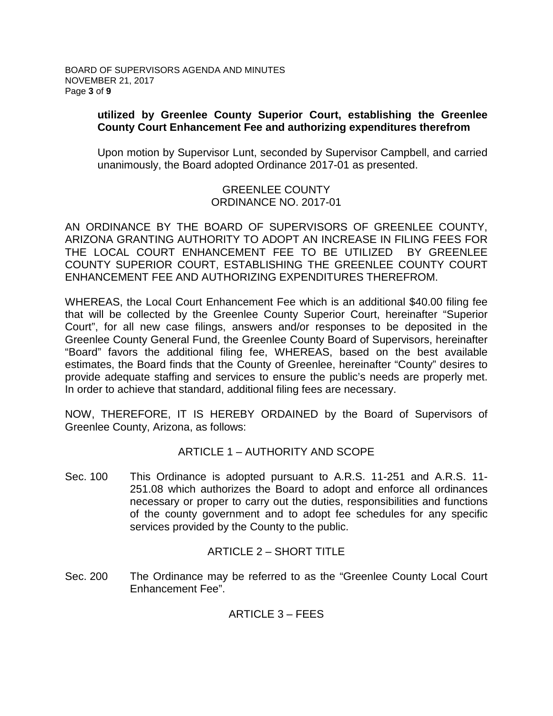## **utilized by Greenlee County Superior Court, establishing the Greenlee County Court Enhancement Fee and authorizing expenditures therefrom**

Upon motion by Supervisor Lunt, seconded by Supervisor Campbell, and carried unanimously, the Board adopted Ordinance 2017-01 as presented.

# GREENLEE COUNTY ORDINANCE NO. 2017-01

AN ORDINANCE BY THE BOARD OF SUPERVISORS OF GREENLEE COUNTY, ARIZONA GRANTING AUTHORITY TO ADOPT AN INCREASE IN FILING FEES FOR THE LOCAL COURT ENHANCEMENT FEE TO BE UTILIZED BY GREENLEE COUNTY SUPERIOR COURT, ESTABLISHING THE GREENLEE COUNTY COURT ENHANCEMENT FEE AND AUTHORIZING EXPENDITURES THEREFROM.

WHEREAS, the Local Court Enhancement Fee which is an additional \$40.00 filing fee that will be collected by the Greenlee County Superior Court, hereinafter "Superior Court", for all new case filings, answers and/or responses to be deposited in the Greenlee County General Fund, the Greenlee County Board of Supervisors, hereinafter "Board" favors the additional filing fee, WHEREAS, based on the best available estimates, the Board finds that the County of Greenlee, hereinafter "County" desires to provide adequate staffing and services to ensure the public's needs are properly met. In order to achieve that standard, additional filing fees are necessary.

NOW, THEREFORE, IT IS HEREBY ORDAINED by the Board of Supervisors of Greenlee County, Arizona, as follows:

# ARTICLE 1 – AUTHORITY AND SCOPE

Sec. 100 This Ordinance is adopted pursuant to A.R.S. 11-251 and A.R.S. 11- 251.08 which authorizes the Board to adopt and enforce all ordinances necessary or proper to carry out the duties, responsibilities and functions of the county government and to adopt fee schedules for any specific services provided by the County to the public.

## ARTICLE 2 – SHORT TITLE

Sec. 200 The Ordinance may be referred to as the "Greenlee County Local Court Enhancement Fee".

ARTICLE 3 – FEES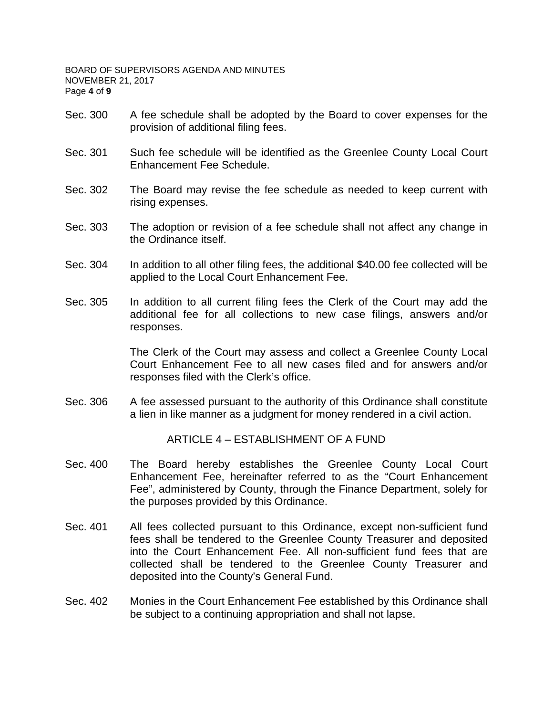- Sec. 300 A fee schedule shall be adopted by the Board to cover expenses for the provision of additional filing fees.
- Sec. 301 Such fee schedule will be identified as the Greenlee County Local Court Enhancement Fee Schedule.
- Sec. 302 The Board may revise the fee schedule as needed to keep current with rising expenses.
- Sec. 303 The adoption or revision of a fee schedule shall not affect any change in the Ordinance itself.
- Sec. 304 In addition to all other filing fees, the additional \$40.00 fee collected will be applied to the Local Court Enhancement Fee.
- Sec. 305 In addition to all current filing fees the Clerk of the Court may add the additional fee for all collections to new case filings, answers and/or responses.

The Clerk of the Court may assess and collect a Greenlee County Local Court Enhancement Fee to all new cases filed and for answers and/or responses filed with the Clerk's office.

Sec. 306 A fee assessed pursuant to the authority of this Ordinance shall constitute a lien in like manner as a judgment for money rendered in a civil action.

ARTICLE 4 – ESTABLISHMENT OF A FUND

- Sec. 400 The Board hereby establishes the Greenlee County Local Court Enhancement Fee, hereinafter referred to as the "Court Enhancement Fee", administered by County, through the Finance Department, solely for the purposes provided by this Ordinance.
- Sec. 401 All fees collected pursuant to this Ordinance, except non-sufficient fund fees shall be tendered to the Greenlee County Treasurer and deposited into the Court Enhancement Fee. All non-sufficient fund fees that are collected shall be tendered to the Greenlee County Treasurer and deposited into the County's General Fund.
- Sec. 402 Monies in the Court Enhancement Fee established by this Ordinance shall be subject to a continuing appropriation and shall not lapse.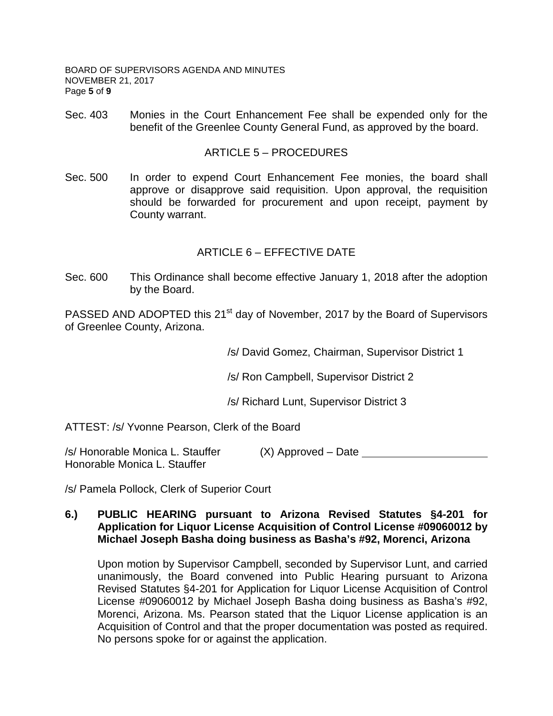BOARD OF SUPERVISORS AGENDA AND MINUTES NOVEMBER 21, 2017 Page **5** of **9**

Sec. 403 Monies in the Court Enhancement Fee shall be expended only for the benefit of the Greenlee County General Fund, as approved by the board.

#### ARTICLE 5 – PROCEDURES

Sec. 500 In order to expend Court Enhancement Fee monies, the board shall approve or disapprove said requisition. Upon approval, the requisition should be forwarded for procurement and upon receipt, payment by County warrant.

## ARTICLE 6 – EFFECTIVE DATE

Sec. 600 This Ordinance shall become effective January 1, 2018 after the adoption by the Board.

PASSED AND ADOPTED this 21<sup>st</sup> day of November, 2017 by the Board of Supervisors of Greenlee County, Arizona.

/s/ David Gomez, Chairman, Supervisor District 1

/s/ Ron Campbell, Supervisor District 2

/s/ Richard Lunt, Supervisor District 3

ATTEST: /s/ Yvonne Pearson, Clerk of the Board

/s/ Honorable Monica L. Stauffer (X) Approved – Date Honorable Monica L. Stauffer

/s/ Pamela Pollock, Clerk of Superior Court

#### **6.) PUBLIC HEARING pursuant to Arizona Revised Statutes §4-201 for Application for Liquor License Acquisition of Control License #09060012 by Michael Joseph Basha doing business as Basha's #92, Morenci, Arizona**

Upon motion by Supervisor Campbell, seconded by Supervisor Lunt, and carried unanimously, the Board convened into Public Hearing pursuant to Arizona Revised Statutes §4-201 for Application for Liquor License Acquisition of Control License #09060012 by Michael Joseph Basha doing business as Basha's #92, Morenci, Arizona. Ms. Pearson stated that the Liquor License application is an Acquisition of Control and that the proper documentation was posted as required. No persons spoke for or against the application.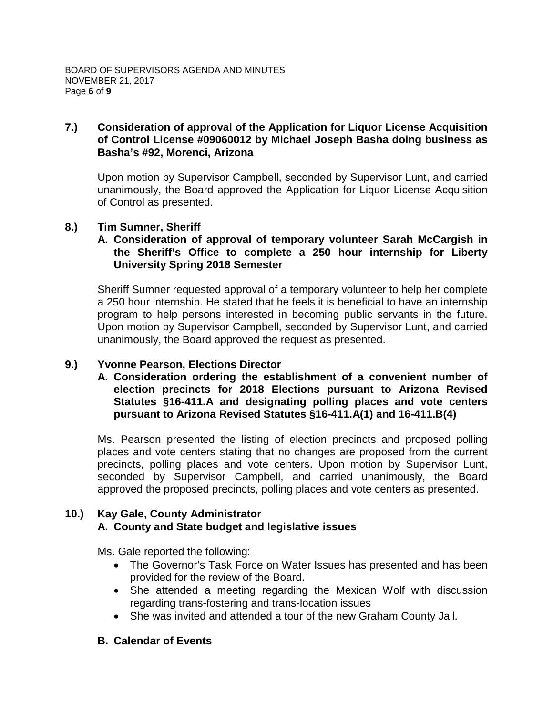## **7.) Consideration of approval of the Application for Liquor License Acquisition of Control License #09060012 by Michael Joseph Basha doing business as Basha's #92, Morenci, Arizona**

Upon motion by Supervisor Campbell, seconded by Supervisor Lunt, and carried unanimously, the Board approved the Application for Liquor License Acquisition of Control as presented.

## **8.) Tim Sumner, Sheriff**

## **A. Consideration of approval of temporary volunteer Sarah McCargish in the Sheriff's Office to complete a 250 hour internship for Liberty University Spring 2018 Semester**

Sheriff Sumner requested approval of a temporary volunteer to help her complete a 250 hour internship. He stated that he feels it is beneficial to have an internship program to help persons interested in becoming public servants in the future. Upon motion by Supervisor Campbell, seconded by Supervisor Lunt, and carried unanimously, the Board approved the request as presented.

## **9.) Yvonne Pearson, Elections Director**

**A. Consideration ordering the establishment of a convenient number of election precincts for 2018 Elections pursuant to Arizona Revised Statutes §16-411.A and designating polling places and vote centers pursuant to Arizona Revised Statutes §16-411.A(1) and 16-411.B(4)**

Ms. Pearson presented the listing of election precincts and proposed polling places and vote centers stating that no changes are proposed from the current precincts, polling places and vote centers. Upon motion by Supervisor Lunt, seconded by Supervisor Campbell, and carried unanimously, the Board approved the proposed precincts, polling places and vote centers as presented.

#### **10.) Kay Gale, County Administrator A. County and State budget and legislative issues**

Ms. Gale reported the following:

- The Governor's Task Force on Water Issues has presented and has been provided for the review of the Board.
- She attended a meeting regarding the Mexican Wolf with discussion regarding trans-fostering and trans-location issues
- She was invited and attended a tour of the new Graham County Jail.

## **B. Calendar of Events**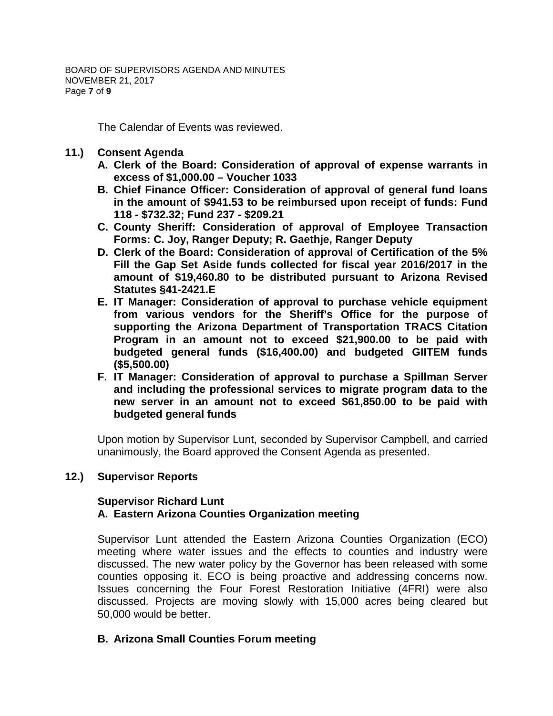The Calendar of Events was reviewed.

- **11.) Consent Agenda**
	- **A. Clerk of the Board: Consideration of approval of expense warrants in excess of \$1,000.00 – Voucher 1033**
	- **B. Chief Finance Officer: Consideration of approval of general fund loans in the amount of \$941.53 to be reimbursed upon receipt of funds: Fund 118 - \$732.32; Fund 237 - \$209.21**
	- **C. County Sheriff: Consideration of approval of Employee Transaction Forms: C. Joy, Ranger Deputy; R. Gaethje, Ranger Deputy**
	- **D. Clerk of the Board: Consideration of approval of Certification of the 5% Fill the Gap Set Aside funds collected for fiscal year 2016/2017 in the amount of \$19,460.80 to be distributed pursuant to Arizona Revised Statutes §41-2421.E**
	- **E. IT Manager: Consideration of approval to purchase vehicle equipment from various vendors for the Sheriff's Office for the purpose of supporting the Arizona Department of Transportation TRACS Citation Program in an amount not to exceed \$21,900.00 to be paid with budgeted general funds (\$16,400.00) and budgeted GIITEM funds (\$5,500.00)**
	- **F. IT Manager: Consideration of approval to purchase a Spillman Server and including the professional services to migrate program data to the new server in an amount not to exceed \$61,850.00 to be paid with budgeted general funds**

Upon motion by Supervisor Lunt, seconded by Supervisor Campbell, and carried unanimously, the Board approved the Consent Agenda as presented.

## **12.) Supervisor Reports**

# **Supervisor Richard Lunt A. Eastern Arizona Counties Organization meeting**

Supervisor Lunt attended the Eastern Arizona Counties Organization (ECO) meeting where water issues and the effects to counties and industry were discussed. The new water policy by the Governor has been released with some counties opposing it. ECO is being proactive and addressing concerns now. Issues concerning the Four Forest Restoration Initiative (4FRI) were also discussed. Projects are moving slowly with 15,000 acres being cleared but 50,000 would be better.

## **B. Arizona Small Counties Forum meeting**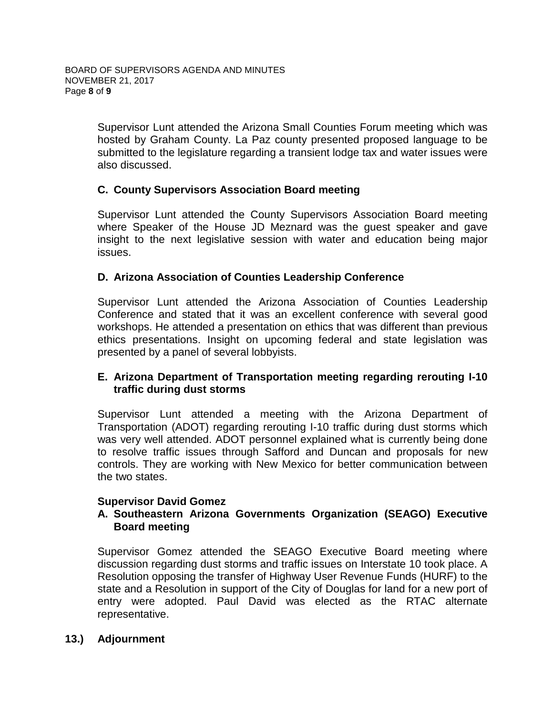Supervisor Lunt attended the Arizona Small Counties Forum meeting which was hosted by Graham County. La Paz county presented proposed language to be submitted to the legislature regarding a transient lodge tax and water issues were also discussed.

# **C. County Supervisors Association Board meeting**

Supervisor Lunt attended the County Supervisors Association Board meeting where Speaker of the House JD Meznard was the guest speaker and gave insight to the next legislative session with water and education being major issues.

## **D. Arizona Association of Counties Leadership Conference**

Supervisor Lunt attended the Arizona Association of Counties Leadership Conference and stated that it was an excellent conference with several good workshops. He attended a presentation on ethics that was different than previous ethics presentations. Insight on upcoming federal and state legislation was presented by a panel of several lobbyists.

# **E. Arizona Department of Transportation meeting regarding rerouting I-10 traffic during dust storms**

Supervisor Lunt attended a meeting with the Arizona Department of Transportation (ADOT) regarding rerouting I-10 traffic during dust storms which was very well attended. ADOT personnel explained what is currently being done to resolve traffic issues through Safford and Duncan and proposals for new controls. They are working with New Mexico for better communication between the two states.

## **Supervisor David Gomez**

## **A. Southeastern Arizona Governments Organization (SEAGO) Executive Board meeting**

Supervisor Gomez attended the SEAGO Executive Board meeting where discussion regarding dust storms and traffic issues on Interstate 10 took place. A Resolution opposing the transfer of Highway User Revenue Funds (HURF) to the state and a Resolution in support of the City of Douglas for land for a new port of entry were adopted. Paul David was elected as the RTAC alternate representative.

## **13.) Adjournment**